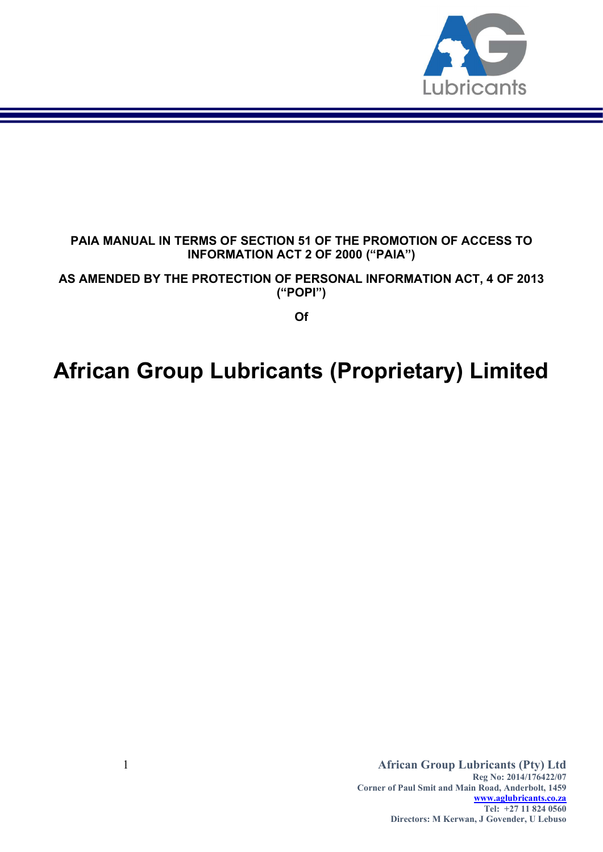

## PAIA MANUAL IN TERMS OF SECTION 51 OF THE PROMOTION OF ACCESS TO INFORMATION ACT 2 OF 2000 ("PAIA")

AS AMENDED BY THE PROTECTION OF PERSONAL INFORMATION ACT, 4 OF 2013 ("POPI")

Of

# African Group Lubricants (Proprietary) Limited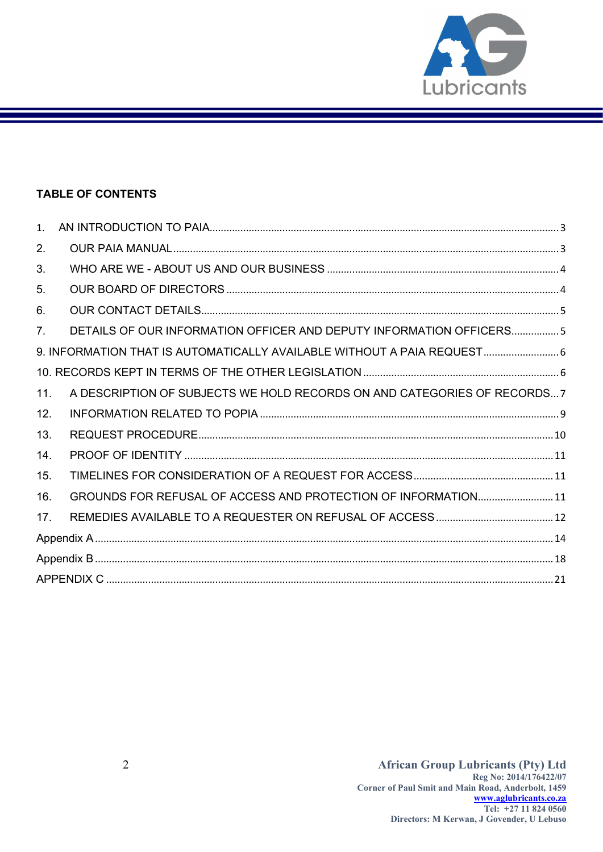

## TABLE OF CONTENTS

| 1 <sup>1</sup> |                                                                          |  |
|----------------|--------------------------------------------------------------------------|--|
| 2.             |                                                                          |  |
| 3.             |                                                                          |  |
| 5.             |                                                                          |  |
| 6.             |                                                                          |  |
| 7 <sub>1</sub> | DETAILS OF OUR INFORMATION OFFICER AND DEPUTY INFORMATION OFFICERS5      |  |
|                | 9. INFORMATION THAT IS AUTOMATICALLY AVAILABLE WITHOUT A PAIA REQUEST 6  |  |
|                |                                                                          |  |
| 11.            | A DESCRIPTION OF SUBJECTS WE HOLD RECORDS ON AND CATEGORIES OF RECORDS 7 |  |
| 12.            |                                                                          |  |
| 13.            |                                                                          |  |
| 14.            |                                                                          |  |
| 15.            |                                                                          |  |
| 16.            | GROUNDS FOR REFUSAL OF ACCESS AND PROTECTION OF INFORMATION 11           |  |
| 17.            |                                                                          |  |
|                |                                                                          |  |
|                |                                                                          |  |
|                |                                                                          |  |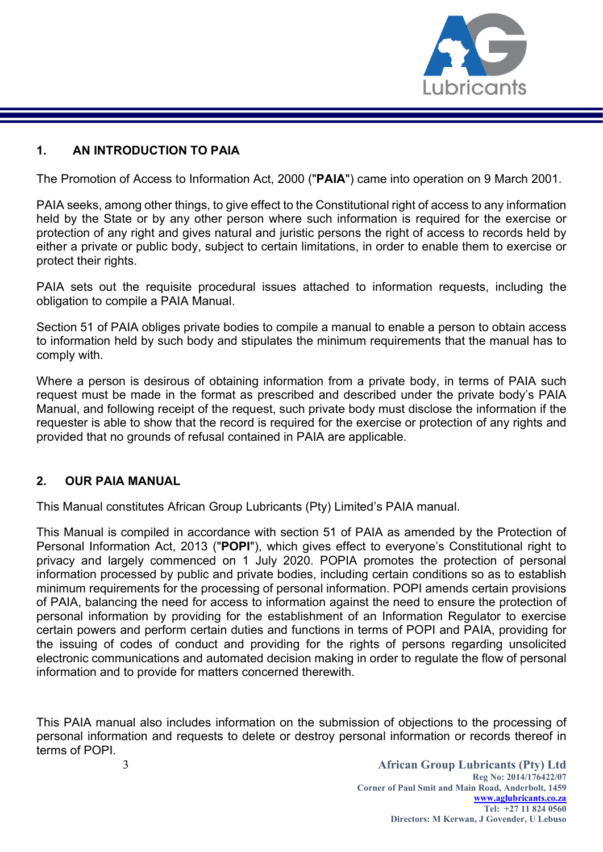

#### 1. AN INTRODUCTION TO PAIA

The Promotion of Access to Information Act, 2000 ("PAIA") came into operation on 9 March 2001.

PAIA seeks, among other things, to give effect to the Constitutional right of access to any information held by the State or by any other person where such information is required for the exercise or protection of any right and gives natural and juristic persons the right of access to records held by either a private or public body, subject to certain limitations, in order to enable them to exercise or protect their rights.

PAIA sets out the requisite procedural issues attached to information requests, including the obligation to compile a PAIA Manual.

Section 51 of PAIA obliges private bodies to compile a manual to enable a person to obtain access to information held by such body and stipulates the minimum requirements that the manual has to comply with.

Where a person is desirous of obtaining information from a private body, in terms of PAIA such request must be made in the format as prescribed and described under the private body's PAIA Manual, and following receipt of the request, such private body must disclose the information if the requester is able to show that the record is required for the exercise or protection of any rights and provided that no grounds of refusal contained in PAIA are applicable.

## 2. OUR PAIA MANUAL

This Manual constitutes African Group Lubricants (Pty) Limited's PAIA manual.

This Manual is compiled in accordance with section 51 of PAIA as amended by the Protection of Personal Information Act, 2013 ("POPI"), which gives effect to everyone's Constitutional right to privacy and largely commenced on 1 July 2020. POPIA promotes the protection of personal information processed by public and private bodies, including certain conditions so as to establish minimum requirements for the processing of personal information. POPI amends certain provisions of PAIA, balancing the need for access to information against the need to ensure the protection of personal information by providing for the establishment of an Information Regulator to exercise certain powers and perform certain duties and functions in terms of POPI and PAIA, providing for the issuing of codes of conduct and providing for the rights of persons regarding unsolicited electronic communications and automated decision making in order to regulate the flow of personal information and to provide for matters concerned therewith.

This PAIA manual also includes information on the submission of objections to the processing of personal information and requests to delete or destroy personal information or records thereof in terms of POPI.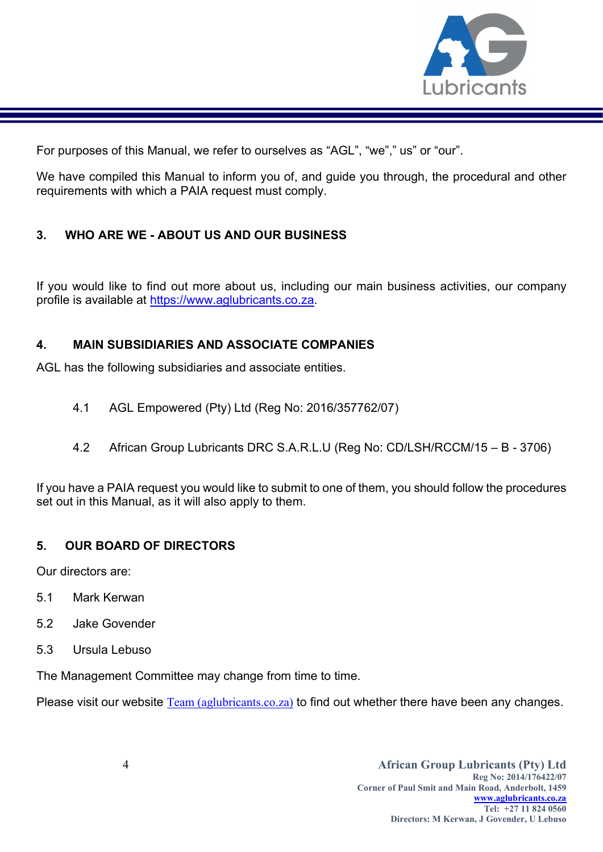

For purposes of this Manual, we refer to ourselves as "AGL", "we"," us" or "our".

We have compiled this Manual to inform you of, and guide you through, the procedural and other requirements with which a PAIA request must comply.

# 3. WHO ARE WE - ABOUT US AND OUR BUSINESS

If you would like to find out more about us, including our main business activities, our company profile is available at https://www.aglubricants.co.za.

# 4. MAIN SUBSIDIARIES AND ASSOCIATE COMPANIES

AGL has the following subsidiaries and associate entities.

- 4.1 AGL Empowered (Pty) Ltd (Reg No: 2016/357762/07)
- 4.2 African Group Lubricants DRC S.A.R.L.U (Reg No: CD/LSH/RCCM/15 B 3706)

If you have a PAIA request you would like to submit to one of them, you should follow the procedures set out in this Manual, as it will also apply to them.

## 5. OUR BOARD OF DIRECTORS

Our directors are:

- 5.1 Mark Kerwan
- 5.2 Jake Govender
- 5.3 Ursula Lebuso

The Management Committee may change from time to time.

Please visit our website Team (aglubricants.co.za) to find out whether there have been any changes.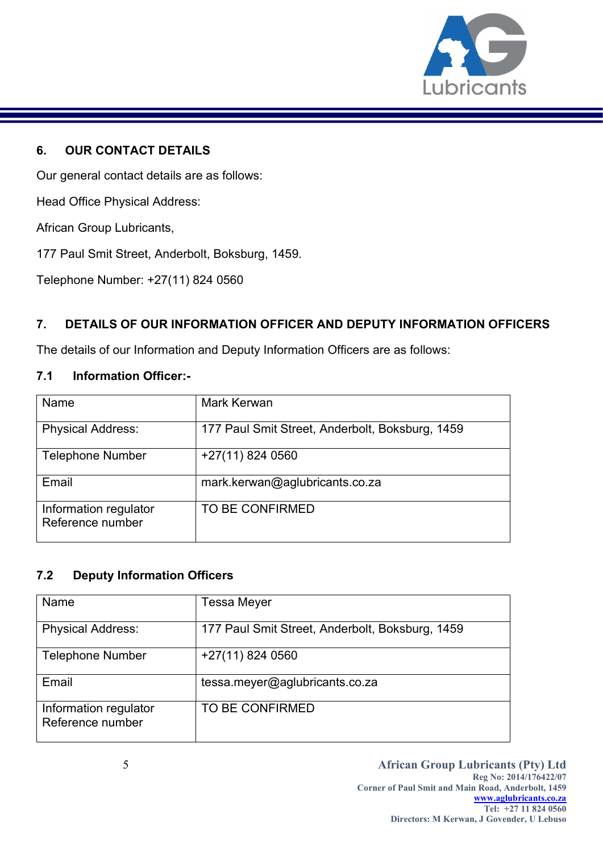

## 6. OUR CONTACT DETAILS

Our general contact details are as follows:

Head Office Physical Address:

African Group Lubricants,

177 Paul Smit Street, Anderbolt, Boksburg, 1459.

Telephone Number: +27(11) 824 0560

# 7. DETAILS OF OUR INFORMATION OFFICER AND DEPUTY INFORMATION OFFICERS

The details of our Information and Deputy Information Officers are as follows:

#### 7.1 Information Officer:-

| Name                                      | Mark Kerwan                                     |
|-------------------------------------------|-------------------------------------------------|
| <b>Physical Address:</b>                  | 177 Paul Smit Street, Anderbolt, Boksburg, 1459 |
| <b>Telephone Number</b>                   | +27(11) 824 0560                                |
| Email                                     | mark.kerwan@aglubricants.co.za                  |
| Information regulator<br>Reference number | TO BE CONFIRMED                                 |

## 7.2 Deputy Information Officers

| Name                                      | <b>Tessa Meyer</b>                              |
|-------------------------------------------|-------------------------------------------------|
| <b>Physical Address:</b>                  | 177 Paul Smit Street, Anderbolt, Boksburg, 1459 |
| <b>Telephone Number</b>                   | $+27(11)$ 824 0560                              |
| Email                                     | tessa.meyer@aglubricants.co.za                  |
| Information regulator<br>Reference number | TO BE CONFIRMED                                 |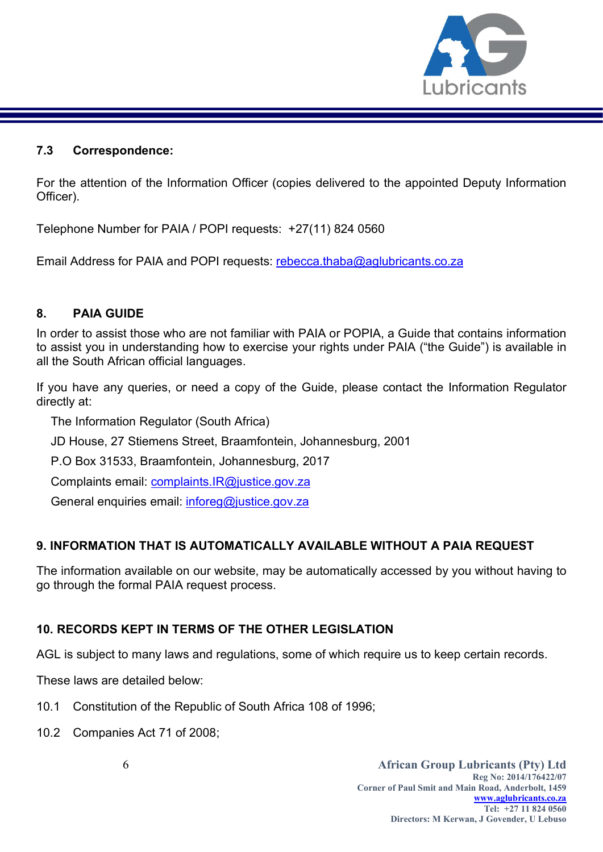

#### 7.3 Correspondence:

For the attention of the Information Officer (copies delivered to the appointed Deputy Information Officer).

Telephone Number for PAIA / POPI requests: +27(11) 824 0560

Email Address for PAIA and POPI requests: rebecca.thaba@aglubricants.co.za

## 8. PAIA GUIDE

In order to assist those who are not familiar with PAIA or POPIA, a Guide that contains information to assist you in understanding how to exercise your rights under PAIA ("the Guide") is available in all the South African official languages.

If you have any queries, or need a copy of the Guide, please contact the Information Regulator directly at:

The Information Regulator (South Africa)

JD House, 27 Stiemens Street, Braamfontein, Johannesburg, 2001

P.O Box 31533, Braamfontein, Johannesburg, 2017

Complaints email: complaints.IR@justice.gov.za

General enquiries email: inforeg@justice.gov.za

## 9. INFORMATION THAT IS AUTOMATICALLY AVAILABLE WITHOUT A PAIA REQUEST

The information available on our website, may be automatically accessed by you without having to go through the formal PAIA request process.

## 10. RECORDS KEPT IN TERMS OF THE OTHER LEGISLATION

AGL is subject to many laws and regulations, some of which require us to keep certain records.

These laws are detailed below:

- 10.1 Constitution of the Republic of South Africa 108 of 1996;
- 10.2 Companies Act 71 of 2008;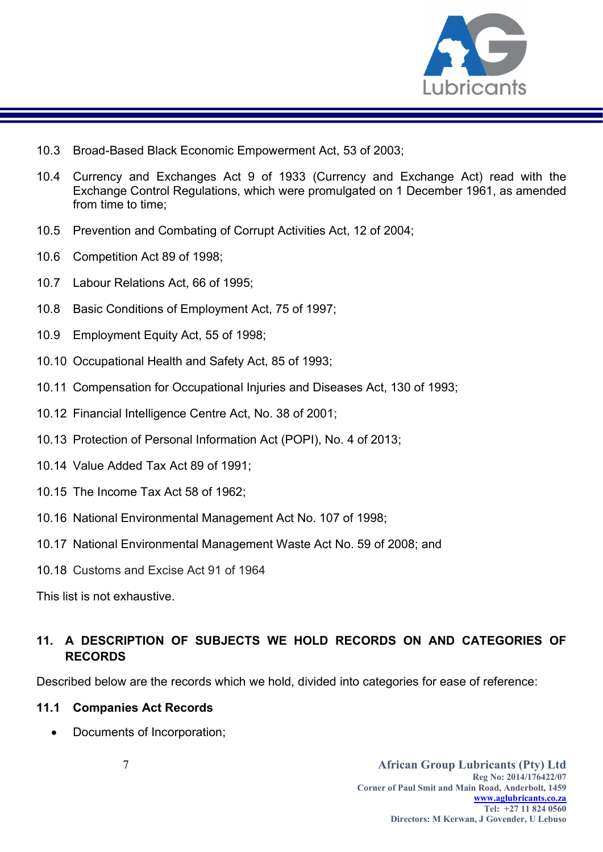

- 10.3 Broad-Based Black Economic Empowerment Act, 53 of 2003;
- 10.4 Currency and Exchanges Act 9 of 1933 (Currency and Exchange Act) read with the Exchange Control Regulations, which were promulgated on 1 December 1961, as amended from time to time:
- 10.5 Prevention and Combating of Corrupt Activities Act, 12 of 2004;
- 10.6 Competition Act 89 of 1998;
- 10.7 Labour Relations Act, 66 of 1995;
- 10.8 Basic Conditions of Employment Act, 75 of 1997;
- 10.9 Employment Equity Act, 55 of 1998;
- 10.10 Occupational Health and Safety Act, 85 of 1993;
- 10.11 Compensation for Occupational Injuries and Diseases Act, 130 of 1993;
- 10.12 Financial Intelligence Centre Act, No. 38 of 2001;
- 10.13 Protection of Personal Information Act (POPI), No. 4 of 2013;
- 10.14 Value Added Tax Act 89 of 1991;
- 10.15 The Income Tax Act 58 of 1962;
- 10.16 National Environmental Management Act No. 107 of 1998;
- 10.17 National Environmental Management Waste Act No. 59 of 2008; and
- 10.18 Customs and Excise Act 91 of 1964

This list is not exhaustive.

# 11. A DESCRIPTION OF SUBJECTS WE HOLD RECORDS ON AND CATEGORIES OF RECORDS

Described below are the records which we hold, divided into categories for ease of reference:

#### 11.1 Companies Act Records

Documents of Incorporation;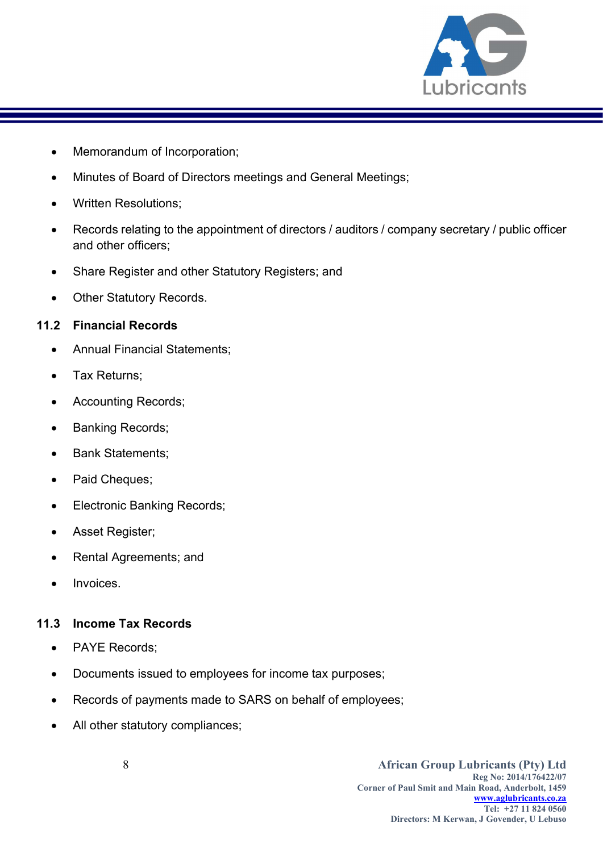

- Memorandum of Incorporation;
- Minutes of Board of Directors meetings and General Meetings;
- Written Resolutions;
- Records relating to the appointment of directors / auditors / company secretary / public officer and other officers;
- Share Register and other Statutory Registers; and
- Other Statutory Records.

## 11.2 Financial Records

- Annual Financial Statements;
- Tax Returns;
- Accounting Records;
- Banking Records;
- Bank Statements;
- Paid Cheques;
- Electronic Banking Records;
- Asset Register;
- Rental Agreements; and
- Invoices.

## 11.3 Income Tax Records

- PAYE Records;
- Documents issued to employees for income tax purposes;
- Records of payments made to SARS on behalf of employees;
- All other statutory compliances;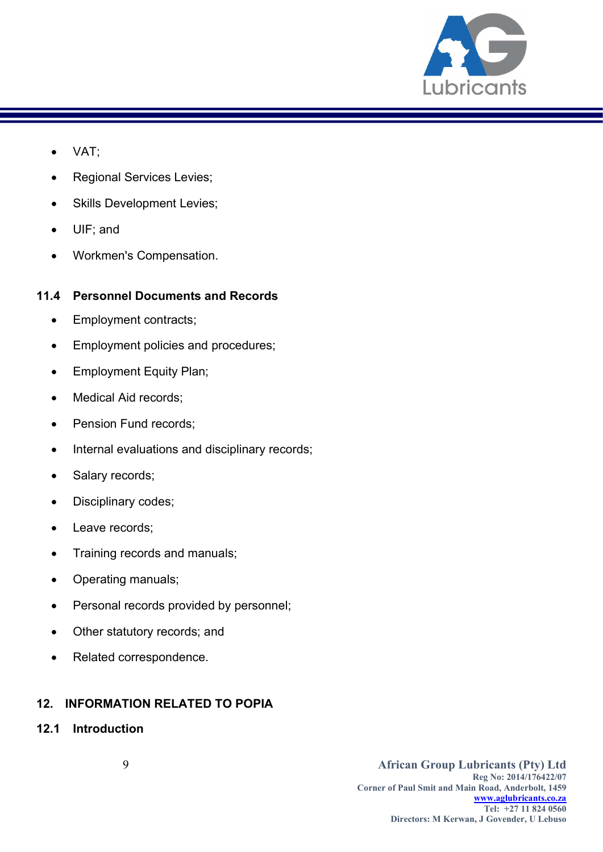

- VAT;
- Regional Services Levies;
- Skills Development Levies;
- UIF; and
- Workmen's Compensation.

## 11.4 Personnel Documents and Records

- Employment contracts;
- Employment policies and procedures;
- Employment Equity Plan;
- Medical Aid records;
- Pension Fund records;
- Internal evaluations and disciplinary records;
- Salary records;
- Disciplinary codes;
- Leave records;
- Training records and manuals;
- Operating manuals;
- Personal records provided by personnel;
- Other statutory records; and
- Related correspondence.

# 12. INFORMATION RELATED TO POPIA

12.1 Introduction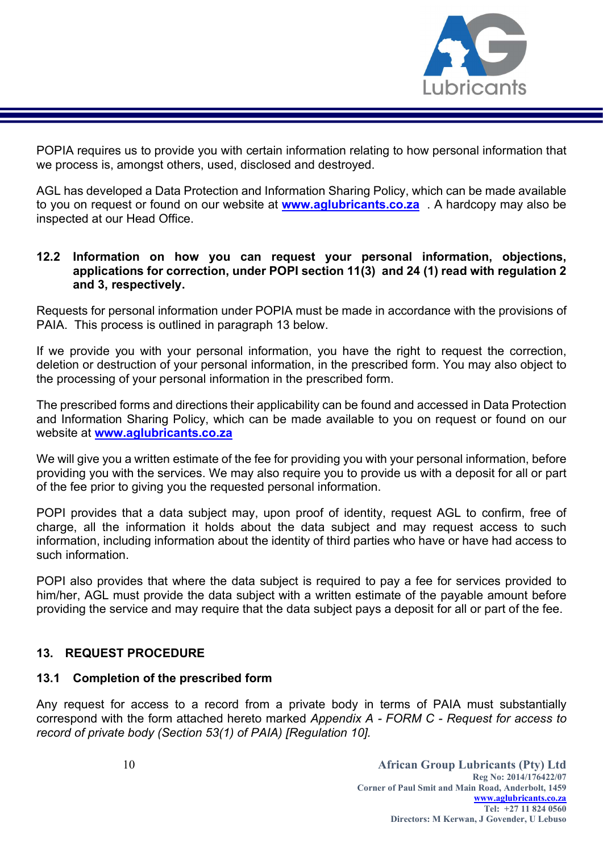

POPIA requires us to provide you with certain information relating to how personal information that we process is, amongst others, used, disclosed and destroyed.

AGL has developed a Data Protection and Information Sharing Policy, which can be made available to you on request or found on our website at **www.aglubricants.co.za** . A hardcopy may also be inspected at our Head Office.

#### 12.2 Information on how you can request your personal information, objections, applications for correction, under POPI section 11(3) and 24 (1) read with regulation 2 and 3, respectively.

Requests for personal information under POPIA must be made in accordance with the provisions of PAIA. This process is outlined in paragraph 13 below.

If we provide you with your personal information, you have the right to request the correction, deletion or destruction of your personal information, in the prescribed form. You may also object to the processing of your personal information in the prescribed form.

The prescribed forms and directions their applicability can be found and accessed in Data Protection and Information Sharing Policy, which can be made available to you on request or found on our website at www.aglubricants.co.za

We will give you a written estimate of the fee for providing you with your personal information, before providing you with the services. We may also require you to provide us with a deposit for all or part of the fee prior to giving you the requested personal information.

POPI provides that a data subject may, upon proof of identity, request AGL to confirm, free of charge, all the information it holds about the data subject and may request access to such information, including information about the identity of third parties who have or have had access to such information.

POPI also provides that where the data subject is required to pay a fee for services provided to him/her, AGL must provide the data subject with a written estimate of the payable amount before providing the service and may require that the data subject pays a deposit for all or part of the fee.

## 13. REQUEST PROCEDURE

## 13.1 Completion of the prescribed form

Any request for access to a record from a private body in terms of PAIA must substantially correspond with the form attached hereto marked Appendix A - FORM C - Request for access to record of private body (Section 53(1) of PAIA) [Regulation 10].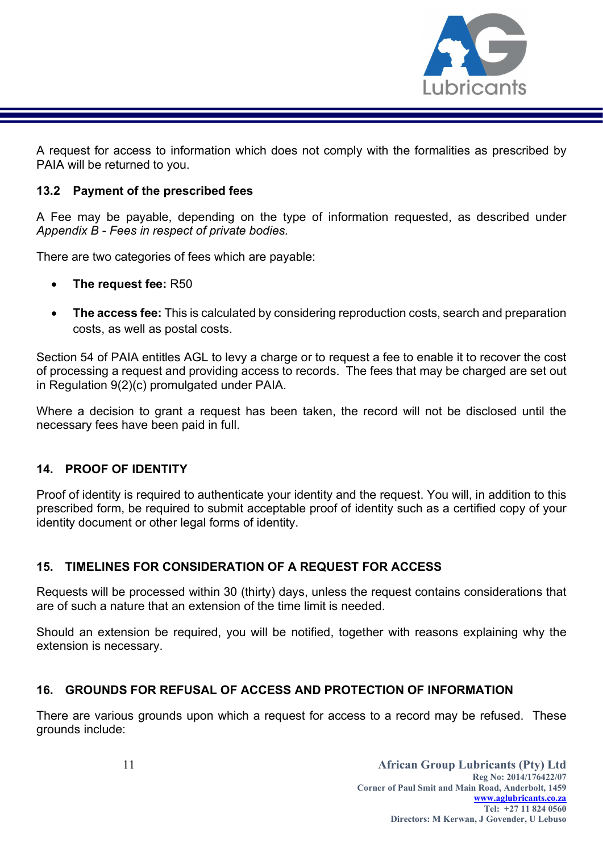

A request for access to information which does not comply with the formalities as prescribed by PAIA will be returned to you.

## 13.2 Payment of the prescribed fees

A Fee may be payable, depending on the type of information requested, as described under Appendix B - Fees in respect of private bodies.

There are two categories of fees which are payable:

- The request fee: R50
- The access fee: This is calculated by considering reproduction costs, search and preparation costs, as well as postal costs.

Section 54 of PAIA entitles AGL to levy a charge or to request a fee to enable it to recover the cost of processing a request and providing access to records. The fees that may be charged are set out in Regulation 9(2)(c) promulgated under PAIA.

Where a decision to grant a request has been taken, the record will not be disclosed until the necessary fees have been paid in full.

## 14. PROOF OF IDENTITY

Proof of identity is required to authenticate your identity and the request. You will, in addition to this prescribed form, be required to submit acceptable proof of identity such as a certified copy of your identity document or other legal forms of identity.

# 15. TIMELINES FOR CONSIDERATION OF A REQUEST FOR ACCESS

Requests will be processed within 30 (thirty) days, unless the request contains considerations that are of such a nature that an extension of the time limit is needed.

Should an extension be required, you will be notified, together with reasons explaining why the extension is necessary.

## 16. GROUNDS FOR REFUSAL OF ACCESS AND PROTECTION OF INFORMATION

There are various grounds upon which a request for access to a record may be refused. These grounds include: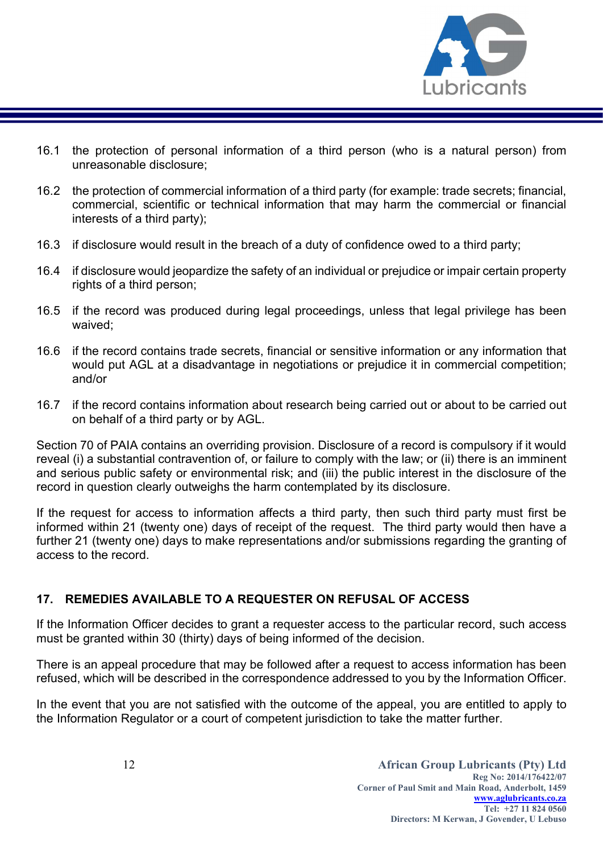

- 16.1 the protection of personal information of a third person (who is a natural person) from unreasonable disclosure;
- 16.2 the protection of commercial information of a third party (for example: trade secrets; financial, commercial, scientific or technical information that may harm the commercial or financial interests of a third party);
- 16.3 if disclosure would result in the breach of a duty of confidence owed to a third party;
- 16.4 if disclosure would jeopardize the safety of an individual or prejudice or impair certain property rights of a third person;
- 16.5 if the record was produced during legal proceedings, unless that legal privilege has been waived;
- 16.6 if the record contains trade secrets, financial or sensitive information or any information that would put AGL at a disadvantage in negotiations or prejudice it in commercial competition; and/or
- 16.7 if the record contains information about research being carried out or about to be carried out on behalf of a third party or by AGL.

Section 70 of PAIA contains an overriding provision. Disclosure of a record is compulsory if it would reveal (i) a substantial contravention of, or failure to comply with the law; or (ii) there is an imminent and serious public safety or environmental risk; and (iii) the public interest in the disclosure of the record in question clearly outweighs the harm contemplated by its disclosure.

If the request for access to information affects a third party, then such third party must first be informed within 21 (twenty one) days of receipt of the request. The third party would then have a further 21 (twenty one) days to make representations and/or submissions regarding the granting of access to the record.

## 17. REMEDIES AVAILABLE TO A REQUESTER ON REFUSAL OF ACCESS

If the Information Officer decides to grant a requester access to the particular record, such access must be granted within 30 (thirty) days of being informed of the decision.

There is an appeal procedure that may be followed after a request to access information has been refused, which will be described in the correspondence addressed to you by the Information Officer.

In the event that you are not satisfied with the outcome of the appeal, you are entitled to apply to the Information Regulator or a court of competent jurisdiction to take the matter further.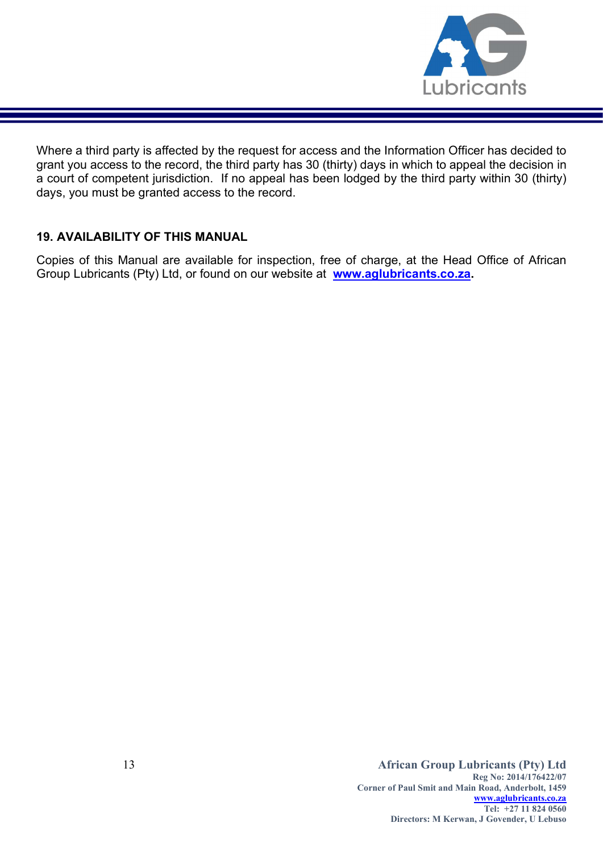

Where a third party is affected by the request for access and the Information Officer has decided to grant you access to the record, the third party has 30 (thirty) days in which to appeal the decision in a court of competent jurisdiction. If no appeal has been lodged by the third party within 30 (thirty) days, you must be granted access to the record.

## 19. AVAILABILITY OF THIS MANUAL

Copies of this Manual are available for inspection, free of charge, at the Head Office of African Group Lubricants (Pty) Ltd, or found on our website at www.aglubricants.co.za.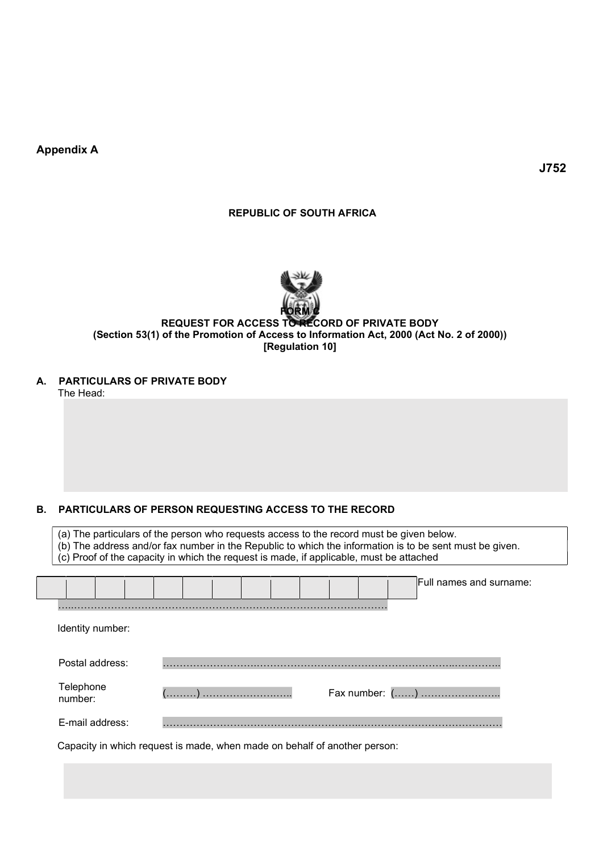Appendix A

J752

#### REPUBLIC OF SOUTH AFRICA



#### REQUEST FOR ACCESS TO RECORD OF PRIVATE BODY (Section 53(1) of the Promotion of Access to Information Act, 2000 (Act No. 2 of 2000)) [Regulation 10]

A. PARTICULARS OF PRIVATE BODY

The Head:

#### B. PARTICULARS OF PERSON REQUESTING ACCESS TO THE RECORD

(a) The particulars of the person who requests access to the record must be given below. (b) The address and/or fax number in the Republic to which the information is to be sent must be given. (c) Proof of the capacity in which the request is made, if applicable, must be attached

|                      | Full names and surname: |
|----------------------|-------------------------|
| Identity number:     |                         |
|                      |                         |
| Postal address:      | .                       |
| Telephone<br>number: | Fax number: ()          |
| E-mail address:      |                         |

Capacity in which request is made, when made on behalf of another person: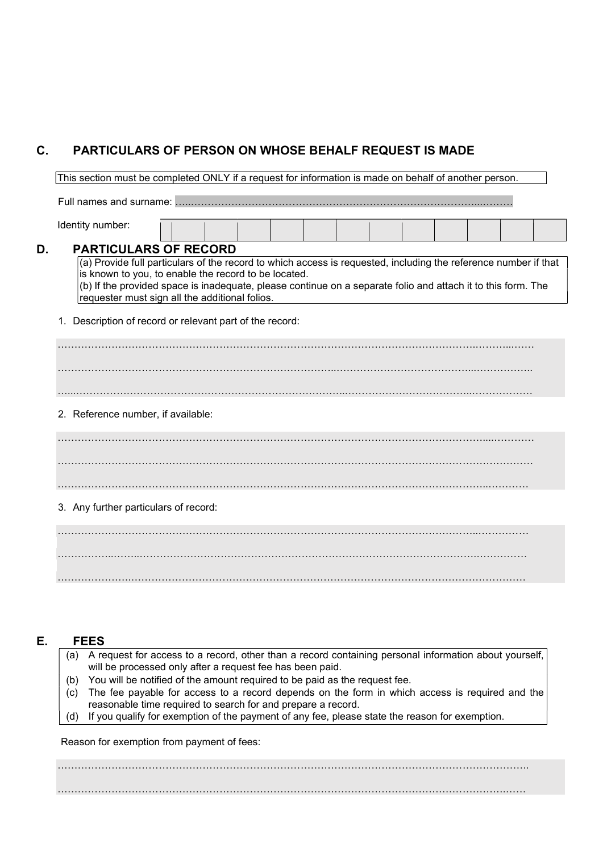# C. PARTICULARS OF PERSON ON WHOSE BEHALF REQUEST IS MADE

This section must be completed ONLY if a request for information is made on behalf of another person.

Full names and surname: …..…………………………………………………………………………...………

Identity number:

#### D. PARTICULARS OF RECORD

(a) Provide full particulars of the record to which access is requested, including the reference number if that is known to you, to enable the record to be located. (b) If the provided space is inadequate, please continue on a separate folio and attach it to this form. The

requester must sign all the additional folios.

1. Description of record or relevant part of the record:

…………………………………………………………………………………………………………….………...…… ………………………………………………………………………..…………………………………...…………….. …...……………………………………………………………………..………………………………..……………… 2. Reference number, if available:

………………………………………………………………………………………………………………..…………

3. Any further particulars of record:

……………..……..……………………………………………………………………………………….…………… ………………….………………………………………………………………………………………………………

## E. FEES

| (a) A request for access to a record, other than a record containing personal information about yourself, |
|-----------------------------------------------------------------------------------------------------------|
| will be processed only after a request fee has been paid.                                                 |
| (b) You will be notified of the amount required to be paid as the request fee.                            |
| (c) The fee payable for access to a record depends on the form in which access is required and the        |
| reasonable time required to search for and prepare a record.                                              |
| (d) If you qualify for exemption of the payment of any fee, please state the reason for exemption.        |
|                                                                                                           |

Reason for exemption from payment of fees:

………………………………………………………………………………………………………………………….. …………………………………………………………………………………………………………………….……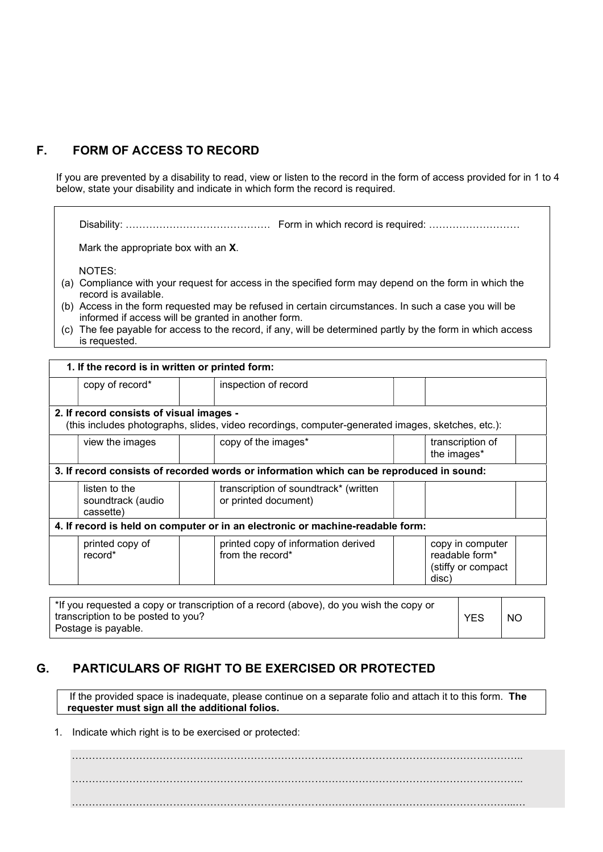# F. FORM OF ACCESS TO RECORD

If you are prevented by a disability to read, view or listen to the record in the form of access provided for in 1 to 4 below, state your disability and indicate in which form the record is required.

Disability: ……………………………………. Form in which record is required: ………………………

Mark the appropriate box with an X.

NOTES:

- (a) Compliance with your request for access in the specified form may depend on the form in which the record is available.
- (b) Access in the form requested may be refused in certain circumstances. In such a case you will be informed if access will be granted in another form.
- (c) The fee payable for access to the record, if any, will be determined partly by the form in which access is requested.

| 1. If the record is in written or printed form:                                                                                               |                                                 |  |                                                               |                                                                   |  |
|-----------------------------------------------------------------------------------------------------------------------------------------------|-------------------------------------------------|--|---------------------------------------------------------------|-------------------------------------------------------------------|--|
|                                                                                                                                               | copy of record*                                 |  | inspection of record                                          |                                                                   |  |
| 2. If record consists of visual images -<br>(this includes photographs, slides, video recordings, computer-generated images, sketches, etc.): |                                                 |  |                                                               |                                                                   |  |
|                                                                                                                                               | view the images                                 |  | copy of the images*                                           | transcription of<br>the images*                                   |  |
| 3. If record consists of recorded words or information which can be reproduced in sound:                                                      |                                                 |  |                                                               |                                                                   |  |
|                                                                                                                                               | listen to the<br>soundtrack (audio<br>cassette) |  | transcription of soundtrack* (written<br>or printed document) |                                                                   |  |
| 4. If record is held on computer or in an electronic or machine-readable form:                                                                |                                                 |  |                                                               |                                                                   |  |
|                                                                                                                                               | printed copy of<br>record*                      |  | printed copy of information derived<br>from the record*       | copy in computer<br>readable form*<br>(stiffy or compact<br>disc) |  |
| $\mathbf{a}$                                                                                                                                  |                                                 |  |                                                               |                                                                   |  |

\*If you requested a copy or transcription of a record (above), do you wish the copy or transcription to be posted to you? Postage is payable. YES | NO

## G. PARTICULARS OF RIGHT TO BE EXERCISED OR PROTECTED

If the provided space is inadequate, please continue on a separate folio and attach it to this form. The requester must sign all the additional folios.

1. Indicate which right is to be exercised or protected:

…………………………………………………………………………………………………………………….. …………………………………………………………………………………………………………………….. …………………………………………………………………………………………………………………...…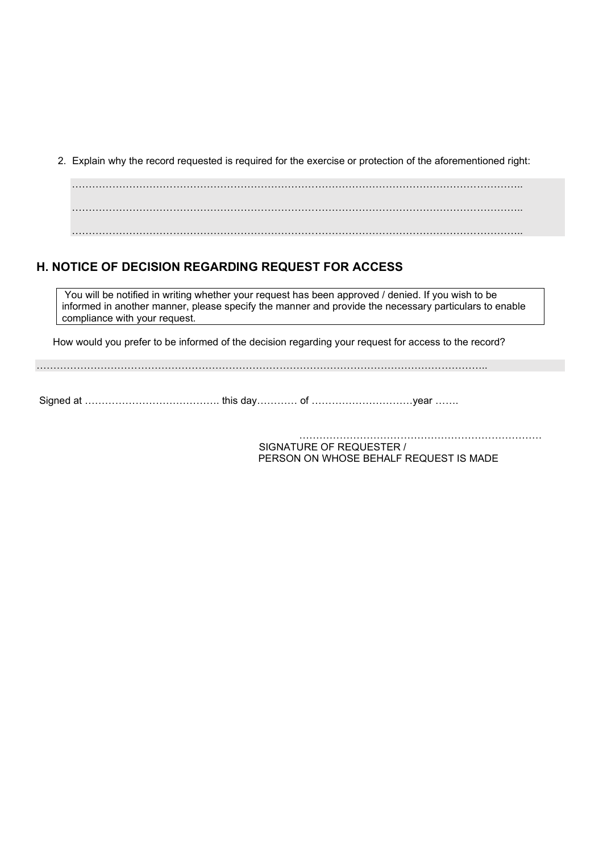2. Explain why the record requested is required for the exercise or protection of the aforementioned right:

……………………………………………………………………………………………………………………..

# H. NOTICE OF DECISION REGARDING REQUEST FOR ACCESS

You will be notified in writing whether your request has been approved / denied. If you wish to be informed in another manner, please specify the manner and provide the necessary particulars to enable compliance with your request.

How would you prefer to be informed of the decision regarding your request for access to the record?

……………………………………………………………………………………………………………………..

Signed at …………………………………. this day………… of …………………………year …….

……………………………………………………………… SIGNATURE OF REQUESTER / PERSON ON WHOSE BEHALF REQUEST IS MADE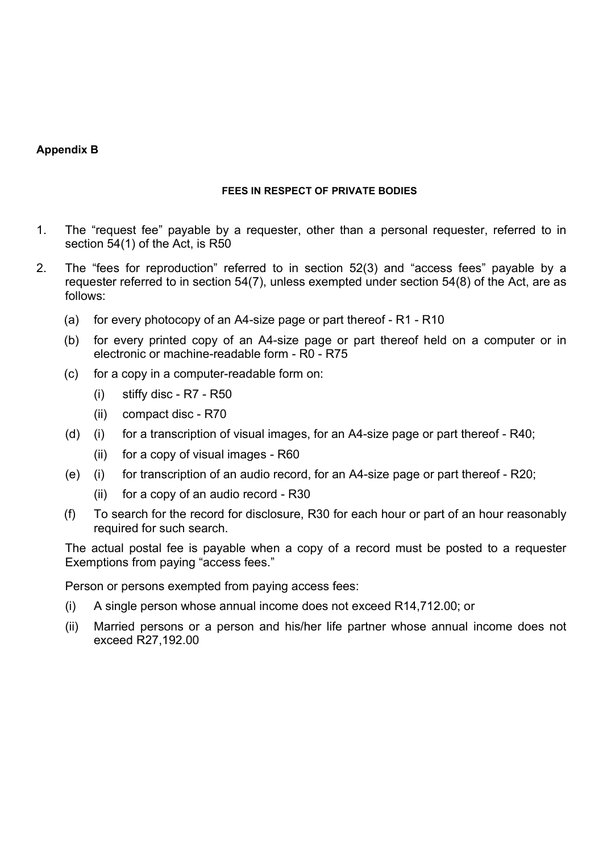#### Appendix B

#### FEES IN RESPECT OF PRIVATE BODIES

- 1. The "request fee" payable by a requester, other than a personal requester, referred to in section 54(1) of the Act, is R50
- 2. The "fees for reproduction" referred to in section 52(3) and "access fees" payable by a requester referred to in section 54(7), unless exempted under section 54(8) of the Act, are as follows:
	- (a) for every photocopy of an A4-size page or part thereof R1 R10
	- (b) for every printed copy of an A4-size page or part thereof held on a computer or in electronic or machine-readable form - R0 - R75
	- (c) for a copy in a computer-readable form on:
		- (i) stiffy disc R7 R50
		- (ii) compact disc R70
	- (d) (i) for a transcription of visual images, for an A4-size page or part thereof R40;
		- (ii) for a copy of visual images R60
	- (e) (i) for transcription of an audio record, for an A4-size page or part thereof R20;
		- (ii) for a copy of an audio record R30
	- (f) To search for the record for disclosure, R30 for each hour or part of an hour reasonably required for such search.

The actual postal fee is payable when a copy of a record must be posted to a requester Exemptions from paying "access fees."

Person or persons exempted from paying access fees:

- (i) A single person whose annual income does not exceed R14,712.00; or
- (ii) Married persons or a person and his/her life partner whose annual income does not exceed R27,192.00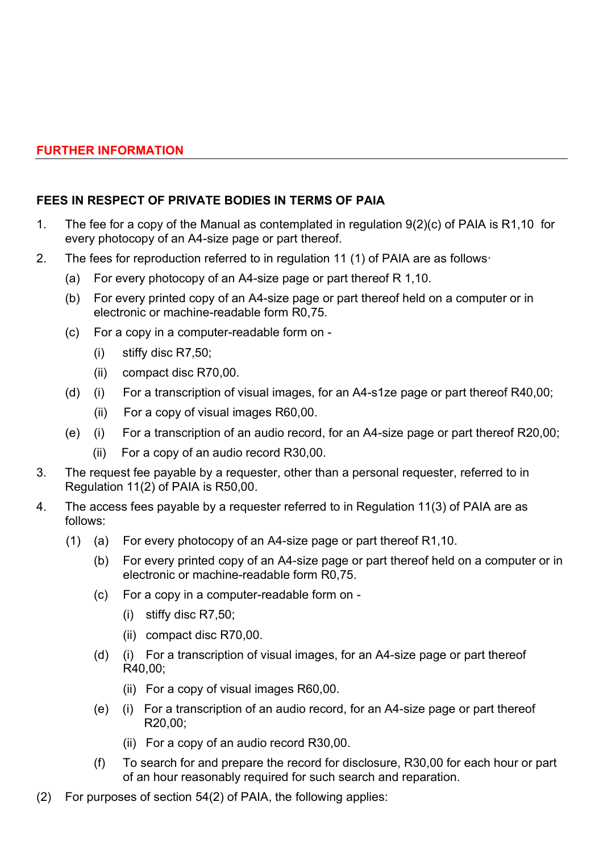# FEES IN RESPECT OF PRIVATE BODIES IN TERMS OF PAIA

- 1. The fee for a copy of the Manual as contemplated in regulation 9(2)(c) of PAIA is R1,10 for every photocopy of an A4-size page or part thereof.
- 2. The fees for reproduction referred to in regulation 11 (1) of PAIA are as follows·
	- (a) For every photocopy of an A4-size page or part thereof R 1,10.
	- (b) For every printed copy of an A4-size page or part thereof held on a computer or in electronic or machine-readable form R0,75.
	- (c) For a copy in a computer-readable form on
		- (i) stiffy disc R7,50;
		- (ii) compact disc R70,00.
	- (d) (i) For a transcription of visual images, for an A4-s1ze page or part thereof R40,00;
		- (ii) For a copy of visual images R60,00.
	- (e) (i) For a transcription of an audio record, for an A4-size page or part thereof R20,00;
		- (ii) For a copy of an audio record R30,00.
- 3. The request fee payable by a requester, other than a personal requester, referred to in Regulation 11(2) of PAIA is R50,00.
- 4. The access fees payable by a requester referred to in Regulation 11(3) of PAIA are as follows:
	- (1) (a) For every photocopy of an A4-size page or part thereof R1,10.
		- (b) For every printed copy of an A4-size page or part thereof held on a computer or in electronic or machine-readable form R0,75.
		- (c) For a copy in a computer-readable form on
			- (i) stiffy disc R7,50;
			- (ii) compact disc R70,00.
		- (d) (i) For a transcription of visual images, for an A4-size page or part thereof R40,00;
			- (ii) For a copy of visual images R60,00.
		- (e) (i) For a transcription of an audio record, for an A4-size page or part thereof R20,00;
			- (ii) For a copy of an audio record R30,00.
		- (f) To search for and prepare the record for disclosure, R30,00 for each hour or part of an hour reasonably required for such search and reparation.
- (2) For purposes of section 54(2) of PAIA, the following applies: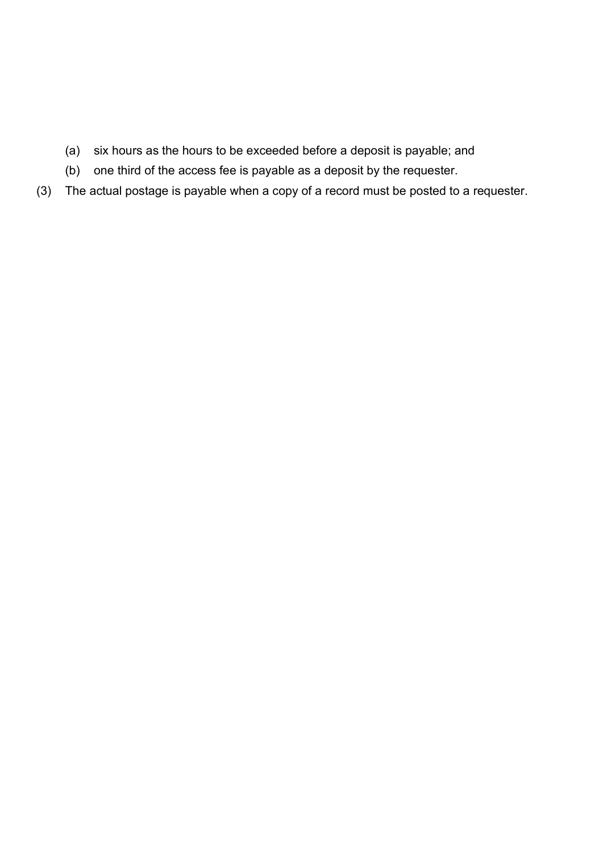- (a) six hours as the hours to be exceeded before a deposit is payable; and
- (b) one third of the access fee is payable as a deposit by the requester.
- (3) The actual postage is payable when a copy of a record must be posted to a requester.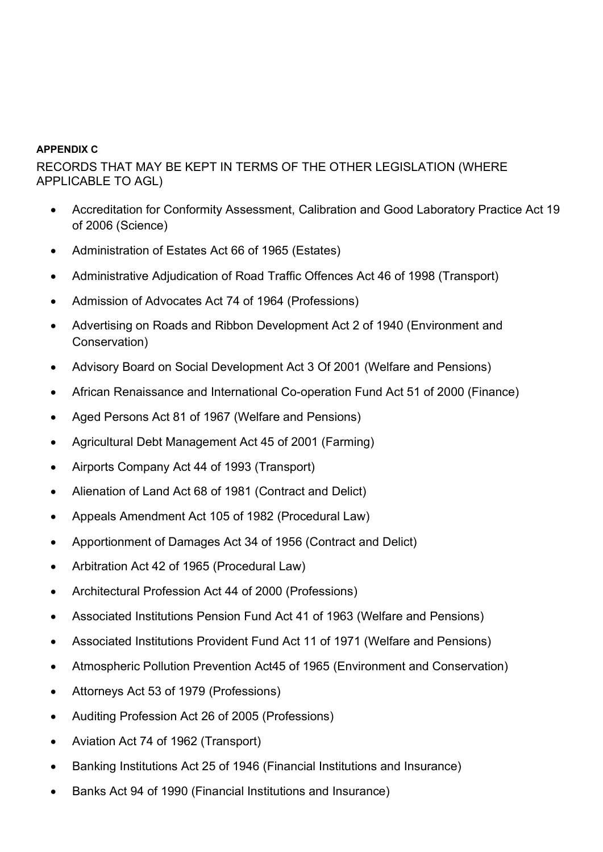#### APPENDIX C

RECORDS THAT MAY BE KEPT IN TERMS OF THE OTHER LEGISLATION (WHERE APPLICABLE TO AGL)

- Accreditation for Conformity Assessment, Calibration and Good Laboratory Practice Act 19 of 2006 (Science)
- Administration of Estates Act 66 of 1965 (Estates)
- Administrative Adjudication of Road Traffic Offences Act 46 of 1998 (Transport)
- Admission of Advocates Act 74 of 1964 (Professions)
- Advertising on Roads and Ribbon Development Act 2 of 1940 (Environment and Conservation)
- Advisory Board on Social Development Act 3 Of 2001 (Welfare and Pensions)
- African Renaissance and International Co-operation Fund Act 51 of 2000 (Finance)
- Aged Persons Act 81 of 1967 (Welfare and Pensions)
- Agricultural Debt Management Act 45 of 2001 (Farming)
- Airports Company Act 44 of 1993 (Transport)
- Alienation of Land Act 68 of 1981 (Contract and Delict)
- Appeals Amendment Act 105 of 1982 (Procedural Law)
- Apportionment of Damages Act 34 of 1956 (Contract and Delict)
- Arbitration Act 42 of 1965 (Procedural Law)
- Architectural Profession Act 44 of 2000 (Professions)
- Associated Institutions Pension Fund Act 41 of 1963 (Welfare and Pensions)
- Associated Institutions Provident Fund Act 11 of 1971 (Welfare and Pensions)
- Atmospheric Pollution Prevention Act45 of 1965 (Environment and Conservation)
- Attorneys Act 53 of 1979 (Professions)
- Auditing Profession Act 26 of 2005 (Professions)
- Aviation Act 74 of 1962 (Transport)
- Banking Institutions Act 25 of 1946 (Financial Institutions and Insurance)
- Banks Act 94 of 1990 (Financial Institutions and Insurance)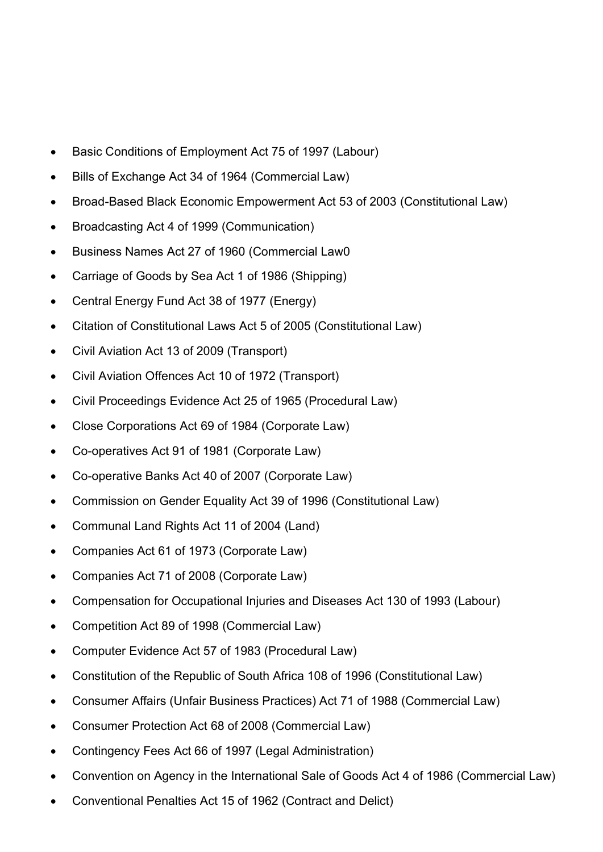- Basic Conditions of Employment Act 75 of 1997 (Labour)
- Bills of Exchange Act 34 of 1964 (Commercial Law)
- Broad-Based Black Economic Empowerment Act 53 of 2003 (Constitutional Law)
- Broadcasting Act 4 of 1999 (Communication)
- Business Names Act 27 of 1960 (Commercial Law0
- Carriage of Goods by Sea Act 1 of 1986 (Shipping)
- Central Energy Fund Act 38 of 1977 (Energy)
- Citation of Constitutional Laws Act 5 of 2005 (Constitutional Law)
- Civil Aviation Act 13 of 2009 (Transport)
- Civil Aviation Offences Act 10 of 1972 (Transport)
- Civil Proceedings Evidence Act 25 of 1965 (Procedural Law)
- Close Corporations Act 69 of 1984 (Corporate Law)
- Co-operatives Act 91 of 1981 (Corporate Law)
- Co-operative Banks Act 40 of 2007 (Corporate Law)
- Commission on Gender Equality Act 39 of 1996 (Constitutional Law)
- Communal Land Rights Act 11 of 2004 (Land)
- Companies Act 61 of 1973 (Corporate Law)
- Companies Act 71 of 2008 (Corporate Law)
- Compensation for Occupational Injuries and Diseases Act 130 of 1993 (Labour)
- Competition Act 89 of 1998 (Commercial Law)
- Computer Evidence Act 57 of 1983 (Procedural Law)
- Constitution of the Republic of South Africa 108 of 1996 (Constitutional Law)
- Consumer Affairs (Unfair Business Practices) Act 71 of 1988 (Commercial Law)
- Consumer Protection Act 68 of 2008 (Commercial Law)
- Contingency Fees Act 66 of 1997 (Legal Administration)
- Convention on Agency in the International Sale of Goods Act 4 of 1986 (Commercial Law)
- Conventional Penalties Act 15 of 1962 (Contract and Delict)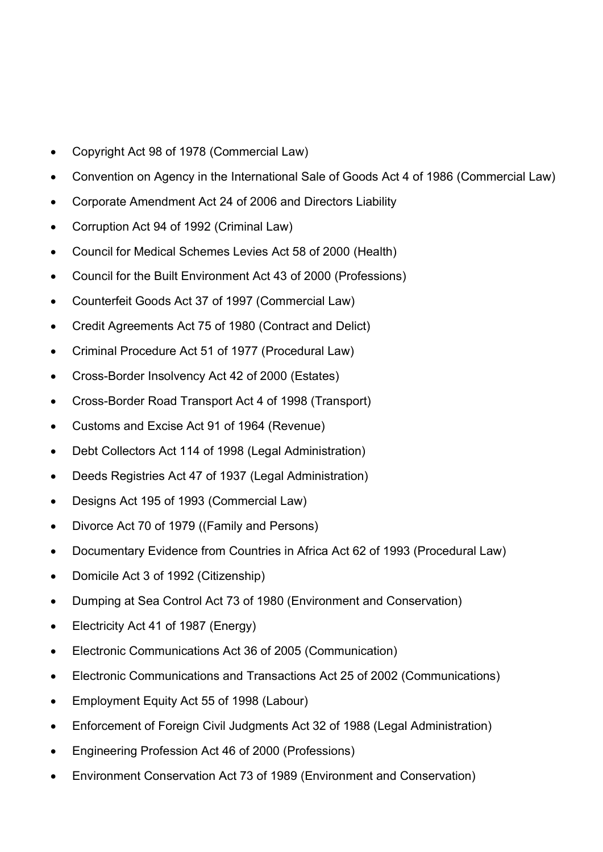- Copyright Act 98 of 1978 (Commercial Law)
- Convention on Agency in the International Sale of Goods Act 4 of 1986 (Commercial Law)
- Corporate Amendment Act 24 of 2006 and Directors Liability
- Corruption Act 94 of 1992 (Criminal Law)
- Council for Medical Schemes Levies Act 58 of 2000 (Health)
- Council for the Built Environment Act 43 of 2000 (Professions)
- Counterfeit Goods Act 37 of 1997 (Commercial Law)
- Credit Agreements Act 75 of 1980 (Contract and Delict)
- Criminal Procedure Act 51 of 1977 (Procedural Law)
- Cross-Border Insolvency Act 42 of 2000 (Estates)
- Cross-Border Road Transport Act 4 of 1998 (Transport)
- Customs and Excise Act 91 of 1964 (Revenue)
- Debt Collectors Act 114 of 1998 (Legal Administration)
- Deeds Registries Act 47 of 1937 (Legal Administration)
- Designs Act 195 of 1993 (Commercial Law)
- Divorce Act 70 of 1979 ((Family and Persons)
- Documentary Evidence from Countries in Africa Act 62 of 1993 (Procedural Law)
- Domicile Act 3 of 1992 (Citizenship)
- Dumping at Sea Control Act 73 of 1980 (Environment and Conservation)
- Electricity Act 41 of 1987 (Energy)
- Electronic Communications Act 36 of 2005 (Communication)
- Electronic Communications and Transactions Act 25 of 2002 (Communications)
- Employment Equity Act 55 of 1998 (Labour)
- Enforcement of Foreign Civil Judgments Act 32 of 1988 (Legal Administration)
- Engineering Profession Act 46 of 2000 (Professions)
- Environment Conservation Act 73 of 1989 (Environment and Conservation)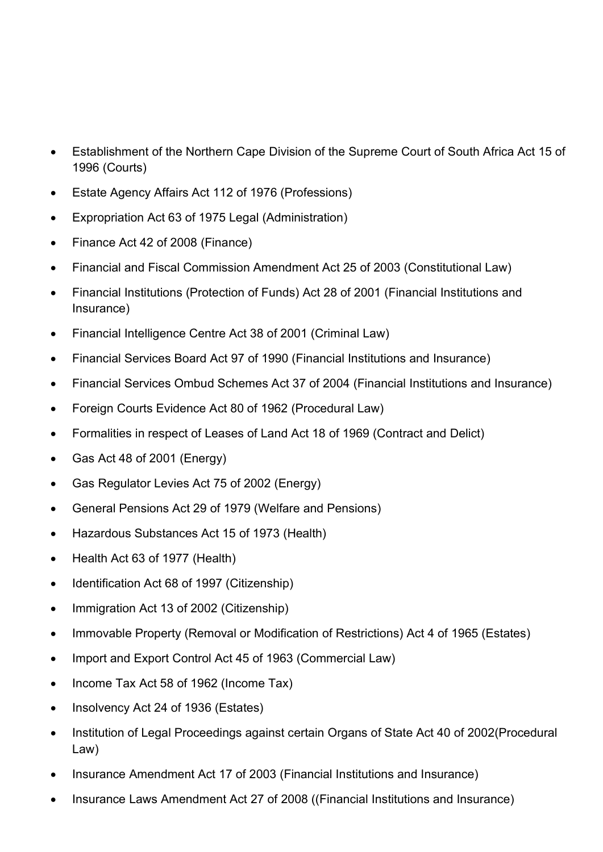- Establishment of the Northern Cape Division of the Supreme Court of South Africa Act 15 of 1996 (Courts)
- Estate Agency Affairs Act 112 of 1976 (Professions)
- Expropriation Act 63 of 1975 Legal (Administration)
- Finance Act 42 of 2008 (Finance)
- Financial and Fiscal Commission Amendment Act 25 of 2003 (Constitutional Law)
- Financial Institutions (Protection of Funds) Act 28 of 2001 (Financial Institutions and Insurance)
- Financial Intelligence Centre Act 38 of 2001 (Criminal Law)
- Financial Services Board Act 97 of 1990 (Financial Institutions and Insurance)
- Financial Services Ombud Schemes Act 37 of 2004 (Financial Institutions and Insurance)
- Foreign Courts Evidence Act 80 of 1962 (Procedural Law)
- Formalities in respect of Leases of Land Act 18 of 1969 (Contract and Delict)
- Gas Act 48 of 2001 (Energy)
- Gas Regulator Levies Act 75 of 2002 (Energy)
- General Pensions Act 29 of 1979 (Welfare and Pensions)
- Hazardous Substances Act 15 of 1973 (Health)
- Health Act 63 of 1977 (Health)
- Identification Act 68 of 1997 (Citizenship)
- Immigration Act 13 of 2002 (Citizenship)
- Immovable Property (Removal or Modification of Restrictions) Act 4 of 1965 (Estates)
- Import and Export Control Act 45 of 1963 (Commercial Law)
- Income Tax Act 58 of 1962 (Income Tax)
- Insolvency Act 24 of 1936 (Estates)
- Institution of Legal Proceedings against certain Organs of State Act 40 of 2002(Procedural Law)
- Insurance Amendment Act 17 of 2003 (Financial Institutions and Insurance)
- Insurance Laws Amendment Act 27 of 2008 ((Financial Institutions and Insurance)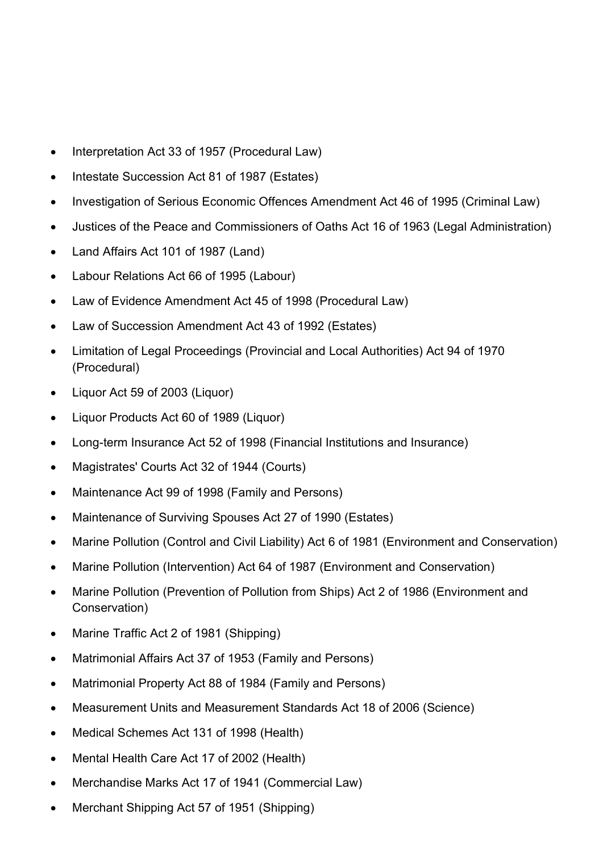- Interpretation Act 33 of 1957 (Procedural Law)
- Intestate Succession Act 81 of 1987 (Estates)
- Investigation of Serious Economic Offences Amendment Act 46 of 1995 (Criminal Law)
- Justices of the Peace and Commissioners of Oaths Act 16 of 1963 (Legal Administration)
- Land Affairs Act 101 of 1987 (Land)
- Labour Relations Act 66 of 1995 (Labour)
- Law of Evidence Amendment Act 45 of 1998 (Procedural Law)
- Law of Succession Amendment Act 43 of 1992 (Estates)
- Limitation of Legal Proceedings (Provincial and Local Authorities) Act 94 of 1970 (Procedural)
- Liquor Act 59 of 2003 (Liquor)
- Liquor Products Act 60 of 1989 (Liquor)
- Long-term Insurance Act 52 of 1998 (Financial Institutions and Insurance)
- Magistrates' Courts Act 32 of 1944 (Courts)
- Maintenance Act 99 of 1998 (Family and Persons)
- Maintenance of Surviving Spouses Act 27 of 1990 (Estates)
- Marine Pollution (Control and Civil Liability) Act 6 of 1981 (Environment and Conservation)
- Marine Pollution (Intervention) Act 64 of 1987 (Environment and Conservation)
- Marine Pollution (Prevention of Pollution from Ships) Act 2 of 1986 (Environment and Conservation)
- Marine Traffic Act 2 of 1981 (Shipping)
- Matrimonial Affairs Act 37 of 1953 (Family and Persons)
- Matrimonial Property Act 88 of 1984 (Family and Persons)
- Measurement Units and Measurement Standards Act 18 of 2006 (Science)
- Medical Schemes Act 131 of 1998 (Health)
- Mental Health Care Act 17 of 2002 (Health)
- Merchandise Marks Act 17 of 1941 (Commercial Law)
- Merchant Shipping Act 57 of 1951 (Shipping)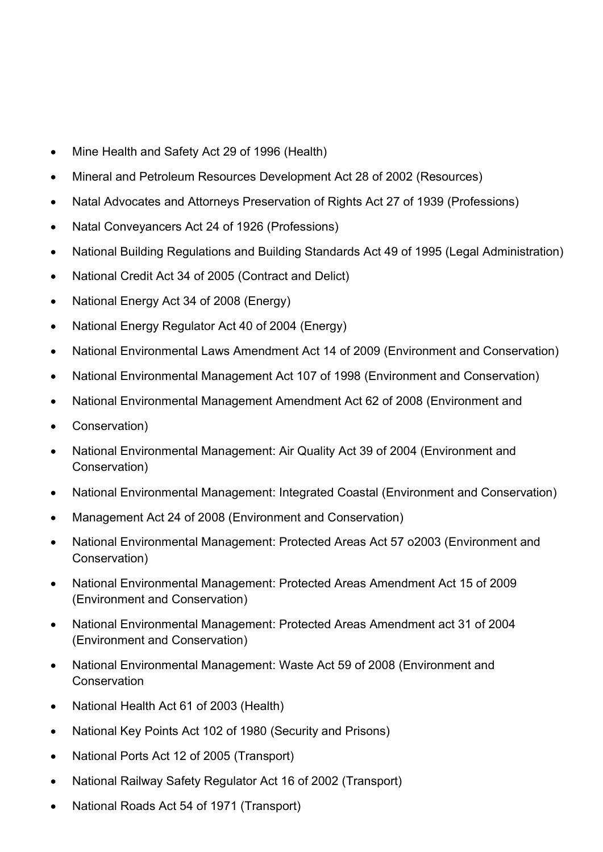- Mine Health and Safety Act 29 of 1996 (Health)
- Mineral and Petroleum Resources Development Act 28 of 2002 (Resources)
- Natal Advocates and Attorneys Preservation of Rights Act 27 of 1939 (Professions)
- Natal Conveyancers Act 24 of 1926 (Professions)
- National Building Regulations and Building Standards Act 49 of 1995 (Legal Administration)
- National Credit Act 34 of 2005 (Contract and Delict)
- National Energy Act 34 of 2008 (Energy)
- National Energy Regulator Act 40 of 2004 (Energy)
- National Environmental Laws Amendment Act 14 of 2009 (Environment and Conservation)
- National Environmental Management Act 107 of 1998 (Environment and Conservation)
- National Environmental Management Amendment Act 62 of 2008 (Environment and
- Conservation)
- National Environmental Management: Air Quality Act 39 of 2004 (Environment and Conservation)
- National Environmental Management: Integrated Coastal (Environment and Conservation)
- Management Act 24 of 2008 (Environment and Conservation)
- National Environmental Management: Protected Areas Act 57 o2003 (Environment and Conservation)
- National Environmental Management: Protected Areas Amendment Act 15 of 2009 (Environment and Conservation)
- National Environmental Management: Protected Areas Amendment act 31 of 2004 (Environment and Conservation)
- National Environmental Management: Waste Act 59 of 2008 (Environment and **Conservation**
- National Health Act 61 of 2003 (Health)
- National Key Points Act 102 of 1980 (Security and Prisons)
- National Ports Act 12 of 2005 (Transport)
- National Railway Safety Regulator Act 16 of 2002 (Transport)
- National Roads Act 54 of 1971 (Transport)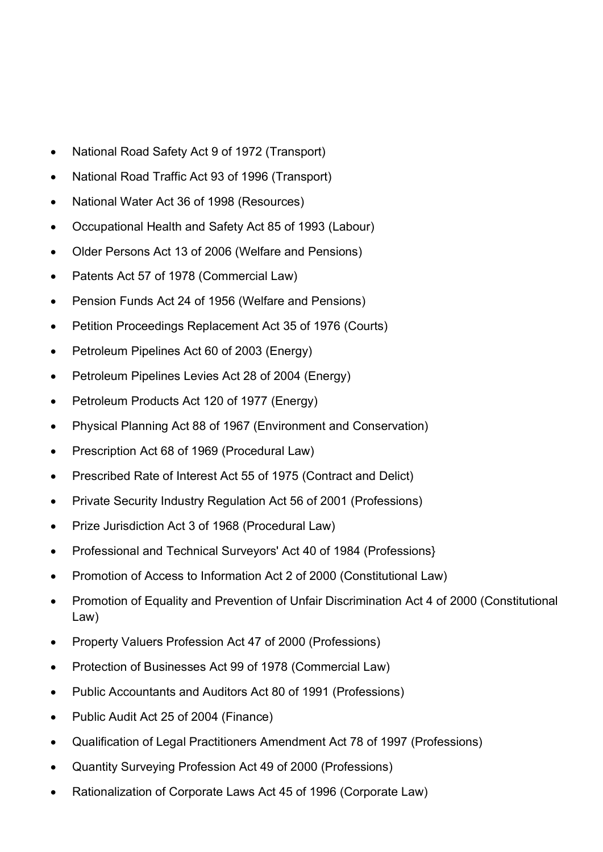- National Road Safety Act 9 of 1972 (Transport)
- National Road Traffic Act 93 of 1996 (Transport)
- National Water Act 36 of 1998 (Resources)
- Occupational Health and Safety Act 85 of 1993 (Labour)
- Older Persons Act 13 of 2006 (Welfare and Pensions)
- Patents Act 57 of 1978 (Commercial Law)
- Pension Funds Act 24 of 1956 (Welfare and Pensions)
- Petition Proceedings Replacement Act 35 of 1976 (Courts)
- Petroleum Pipelines Act 60 of 2003 (Energy)
- Petroleum Pipelines Levies Act 28 of 2004 (Energy)
- Petroleum Products Act 120 of 1977 (Energy)
- Physical Planning Act 88 of 1967 (Environment and Conservation)
- Prescription Act 68 of 1969 (Procedural Law)
- Prescribed Rate of Interest Act 55 of 1975 (Contract and Delict)
- Private Security Industry Regulation Act 56 of 2001 (Professions)
- Prize Jurisdiction Act 3 of 1968 (Procedural Law)
- Professional and Technical Surveyors' Act 40 of 1984 (Professions)
- Promotion of Access to Information Act 2 of 2000 (Constitutional Law)
- Promotion of Equality and Prevention of Unfair Discrimination Act 4 of 2000 (Constitutional Law)
- Property Valuers Profession Act 47 of 2000 (Professions)
- Protection of Businesses Act 99 of 1978 (Commercial Law)
- Public Accountants and Auditors Act 80 of 1991 (Professions)
- Public Audit Act 25 of 2004 (Finance)
- Qualification of Legal Practitioners Amendment Act 78 of 1997 (Professions)
- Quantity Surveying Profession Act 49 of 2000 (Professions)
- Rationalization of Corporate Laws Act 45 of 1996 (Corporate Law)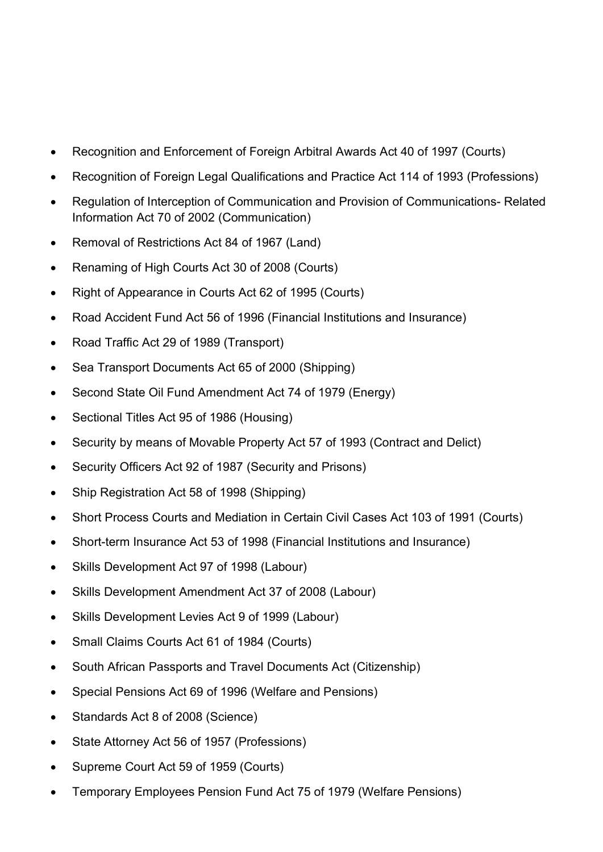- Recognition and Enforcement of Foreign Arbitral Awards Act 40 of 1997 (Courts)
- Recognition of Foreign Legal Qualifications and Practice Act 114 of 1993 (Professions)
- Regulation of Interception of Communication and Provision of Communications- Related Information Act 70 of 2002 (Communication)
- Removal of Restrictions Act 84 of 1967 (Land)
- Renaming of High Courts Act 30 of 2008 (Courts)
- Right of Appearance in Courts Act 62 of 1995 (Courts)
- Road Accident Fund Act 56 of 1996 (Financial Institutions and Insurance)
- Road Traffic Act 29 of 1989 (Transport)
- Sea Transport Documents Act 65 of 2000 (Shipping)
- Second State Oil Fund Amendment Act 74 of 1979 (Energy)
- Sectional Titles Act 95 of 1986 (Housing)
- Security by means of Movable Property Act 57 of 1993 (Contract and Delict)
- Security Officers Act 92 of 1987 (Security and Prisons)
- Ship Registration Act 58 of 1998 (Shipping)
- Short Process Courts and Mediation in Certain Civil Cases Act 103 of 1991 (Courts)
- Short-term Insurance Act 53 of 1998 (Financial Institutions and Insurance)
- Skills Development Act 97 of 1998 (Labour)
- Skills Development Amendment Act 37 of 2008 (Labour)
- Skills Development Levies Act 9 of 1999 (Labour)
- Small Claims Courts Act 61 of 1984 (Courts)
- South African Passports and Travel Documents Act (Citizenship)
- Special Pensions Act 69 of 1996 (Welfare and Pensions)
- Standards Act 8 of 2008 (Science)
- State Attorney Act 56 of 1957 (Professions)
- Supreme Court Act 59 of 1959 (Courts)
- Temporary Employees Pension Fund Act 75 of 1979 (Welfare Pensions)